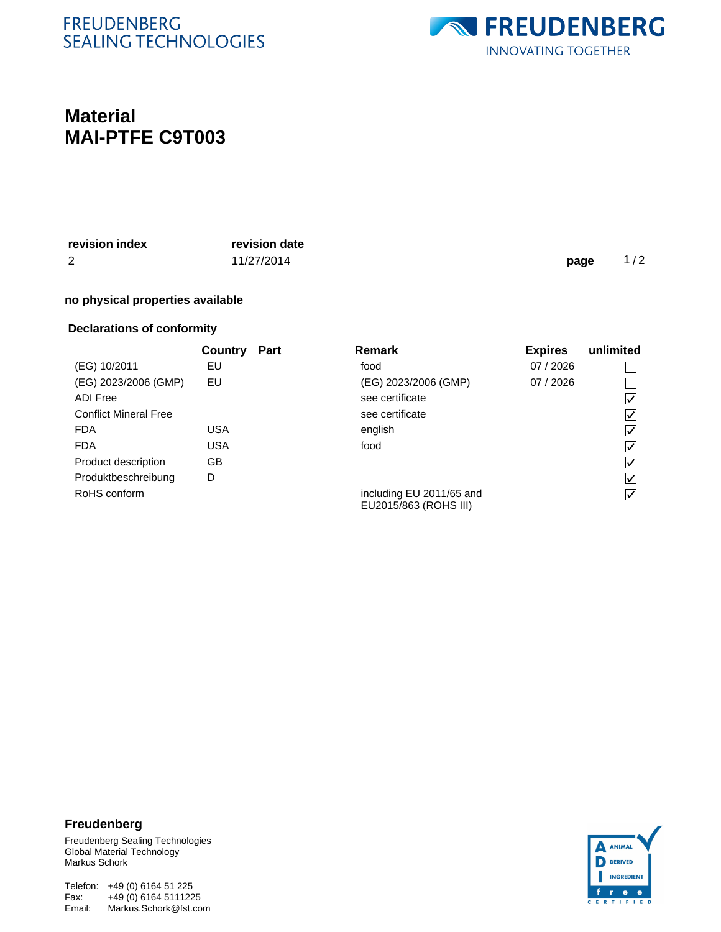## **FREUDENBERG SEALING TECHNOLOGIES**



# **Material MAI-PTFE C9T003**

| revision index | revision date |      |     |
|----------------|---------------|------|-----|
| 2              | 11/27/2014    | page | 1/2 |
|                |               |      |     |

#### **no physical properties available**

### **Declarations of conformity**

|                              | Country    | <b>Part</b> | <b>Remark</b>                                     | <b>Expires</b> | unlimited |
|------------------------------|------------|-------------|---------------------------------------------------|----------------|-----------|
| (EG) 10/2011                 | EU         |             | food                                              | 07 / 2026      |           |
| (EG) 2023/2006 (GMP)         | EU         |             | (EG) 2023/2006 (GMP)                              | 07 / 2026      |           |
| <b>ADI Free</b>              |            |             | see certificate                                   |                | V         |
| <b>Conflict Mineral Free</b> |            |             | see certificate                                   |                | V         |
| <b>FDA</b>                   | <b>USA</b> |             | english                                           |                | V         |
| <b>FDA</b>                   | <b>USA</b> |             | food                                              |                | V         |
| Product description          | GB         |             |                                                   |                | ∨         |
| Produktbeschreibung          | D          |             |                                                   |                | V         |
| RoHS conform                 |            |             | including EU 2011/65 and<br>EU2015/863 (ROHS III) |                | ∨         |

#### **Freudenberg**

Freudenberg Sealing Technologies Global Material Technology Markus Schork

Telefon: +49 (0) 6164 51 225 Email: Markus.Schork@fst.com Fax: +49 (0) 6164 5111225